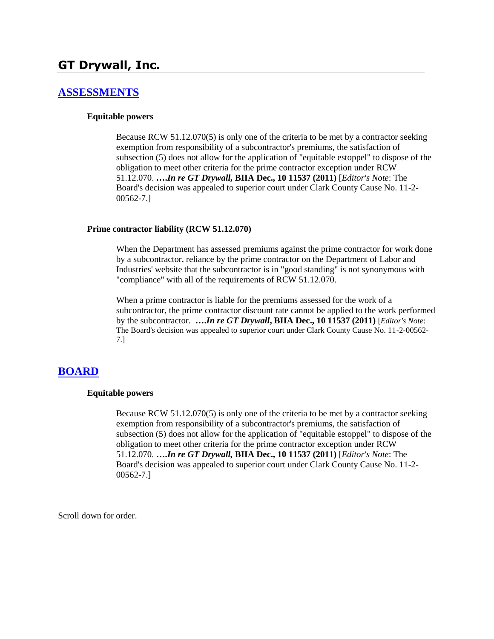# **GT Drywall, Inc.**

# **[ASSESSMENTS](http://www.biia.wa.gov/SDSubjectIndex.html#ASSESSMENTS)**

### **Equitable powers**

Because RCW 51.12.070(5) is only one of the criteria to be met by a contractor seeking exemption from responsibility of a subcontractor's premiums, the satisfaction of subsection (5) does not allow for the application of "equitable estoppel" to dispose of the obligation to meet other criteria for the prime contractor exception under RCW 51.12.070. **….***In re GT Drywall,* **BIIA Dec., 10 11537 (2011)** [*Editor's Note*: The Board's decision was appealed to superior court under Clark County Cause No. 11-2- 00562-7.]

### **Prime contractor liability (RCW 51.12.070)**

When the Department has assessed premiums against the prime contractor for work done by a subcontractor, reliance by the prime contractor on the Department of Labor and Industries' website that the subcontractor is in "good standing" is not synonymous with "compliance" with all of the requirements of RCW 51.12.070.

When a prime contractor is liable for the premiums assessed for the work of a subcontractor, the prime contractor discount rate cannot be applied to the work performed by the subcontractor. **….***In re GT Drywall***, BIIA Dec., 10 11537 (2011)** [*Editor's Note*: The Board's decision was appealed to superior court under Clark County Cause No. 11-2-00562- 7.]

## **[BOARD](http://www.biia.wa.gov/SDSubjectIndex.html#BOARD)**

### **Equitable powers**

Because RCW 51.12.070(5) is only one of the criteria to be met by a contractor seeking exemption from responsibility of a subcontractor's premiums, the satisfaction of subsection (5) does not allow for the application of "equitable estoppel" to dispose of the obligation to meet other criteria for the prime contractor exception under RCW 51.12.070. **….***In re GT Drywall,* **BIIA Dec., 10 11537 (2011)** [*Editor's Note*: The Board's decision was appealed to superior court under Clark County Cause No. 11-2- 00562-7.]

Scroll down for order.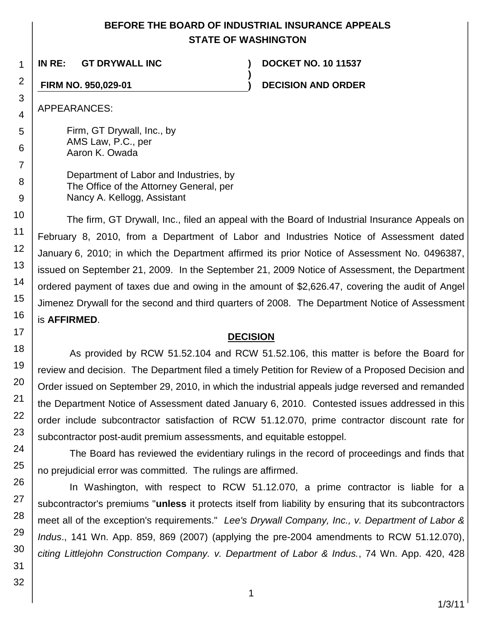# **BEFORE THE BOARD OF INDUSTRIAL INSURANCE APPEALS STATE OF WASHINGTON**

**)**

**IN RE: GT DRYWALL INC ) DOCKET NO. 10 11537**

**FIRM NO. 950,029-01 ) DECISION AND ORDER**

APPEARANCES:

Firm, GT Drywall, Inc., by AMS Law, P.C., per Aaron K. Owada

Department of Labor and Industries, by The Office of the Attorney General, per Nancy A. Kellogg, Assistant

The firm, GT Drywall, Inc., filed an appeal with the Board of Industrial Insurance Appeals on February 8, 2010, from a Department of Labor and Industries Notice of Assessment dated January 6, 2010; in which the Department affirmed its prior Notice of Assessment No. 0496387, issued on September 21, 2009. In the September 21, 2009 Notice of Assessment, the Department ordered payment of taxes due and owing in the amount of \$2,626.47, covering the audit of Angel Jimenez Drywall for the second and third quarters of 2008. The Department Notice of Assessment is **AFFIRMED**.

# **DECISION**

As provided by RCW 51.52.104 and RCW 51.52.106, this matter is before the Board for review and decision. The Department filed a timely Petition for Review of a Proposed Decision and Order issued on September 29, 2010, in which the industrial appeals judge reversed and remanded the Department Notice of Assessment dated January 6, 2010. Contested issues addressed in this order include subcontractor satisfaction of RCW 51.12.070, prime contractor discount rate for subcontractor post-audit premium assessments, and equitable estoppel.

The Board has reviewed the evidentiary rulings in the record of proceedings and finds that no prejudicial error was committed. The rulings are affirmed.

In Washington, with respect to RCW 51.12.070, a prime contractor is liable for a subcontractor's premiums "**unless** it protects itself from liability by ensuring that its subcontractors meet all of the exception's requirements." *Lee's Drywall Company, Inc., v. Department of Labor & Indus*., 141 Wn. App. 859, 869 (2007) (applying the pre-2004 amendments to RCW 51.12.070), *citing Littlejohn Construction Company. v. Department of Labor & Indus.*, 74 Wn. App. 420, 428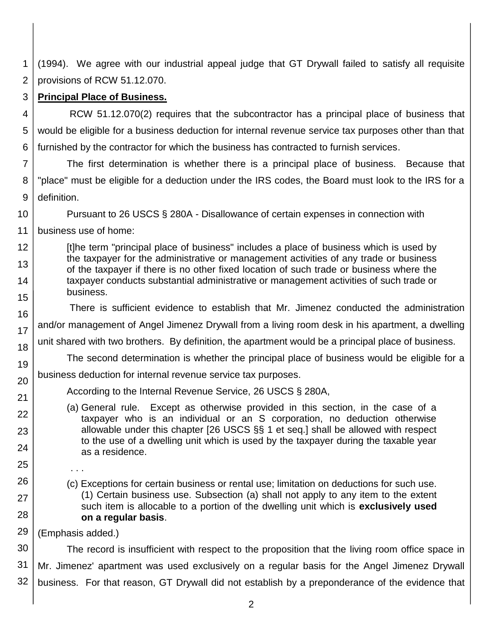1 2 (1994). We agree with our industrial appeal judge that GT Drywall failed to satisfy all requisite provisions of RCW 51.12.070.

#### 3 **Principal Place of Business.**

4 5 6 RCW 51.12.070(2) requires that the subcontractor has a principal place of business that would be eligible for a business deduction for internal revenue service tax purposes other than that furnished by the contractor for which the business has contracted to furnish services.

7 8 9 The first determination is whether there is a principal place of business. Because that "place" must be eligible for a deduction under the IRS codes, the Board must look to the IRS for a definition.

10 11 Pursuant to 26 USCS § 280A - Disallowance of certain expenses in connection with business use of home:

12 13 14 15 [t]he term "principal place of business" includes a place of business which is used by the taxpayer for the administrative or management activities of any trade or business of the taxpayer if there is no other fixed location of such trade or business where the taxpayer conducts substantial administrative or management activities of such trade or business.

There is sufficient evidence to establish that Mr. Jimenez conducted the administration

17 and/or management of Angel Jimenez Drywall from a living room desk in his apartment, a dwelling

18 unit shared with two brothers. By definition, the apartment would be a principal place of business.

The second determination is whether the principal place of business would be eligible for a

#### 20 business deduction for internal revenue service tax purposes.

According to the Internal Revenue Service, 26 USCS § 280A,

- (a) General rule. Except as otherwise provided in this section, in the case of a taxpayer who is an individual or an S corporation, no deduction otherwise allowable under this chapter [\[26 USCS §§ 1](http://www.lexis.com/research/buttonTFLink?_m=0155898ea6d147673c28c09d8f9b1f55&_xfercite=%3ccite%20cc%3d%22USA%22%3e%3c%21%5bCDATA%5b26%20USCS%20%a7%20280A%5d%5d%3e%3c%2fcite%3e&_butType=4&_butStat=0&_butNum=2&_butInline=1&_butinfo=26%20USC%201&_fmtstr=FULL&docnum=1&_startdoc=1&wchp=dGLbVzb-zSkAl&_md5=24c005250ea1d602ce5468a50f6612c3) et seq.] shall be allowed with respect to the use of a dwelling unit which is used by the taxpayer during the taxable year as a residence.
- 25

16

19

21 22

23

24

26

27

28

(c) Exceptions for certain business or rental use; limitation on deductions for such use. (1) Certain business use. Subsection (a) shall not apply to any item to the extent such item is allocable to a portion of the dwelling unit which is **exclusively used on a regular basis**.

29 (Emphasis added.)

. . .

30 31 32 The record is insufficient with respect to the proposition that the living room office space in Mr. Jimenez' apartment was used exclusively on a regular basis for the Angel Jimenez Drywall business. For that reason, GT Drywall did not establish by a preponderance of the evidence that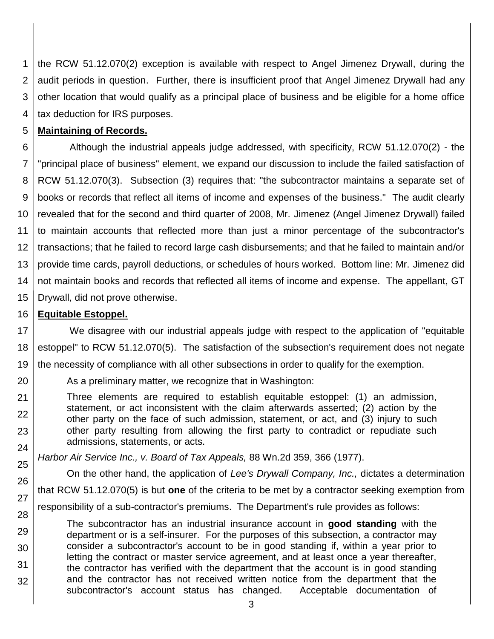1 2 3 4 the RCW 51.12.070(2) exception is available with respect to Angel Jimenez Drywall, during the audit periods in question. Further, there is insufficient proof that Angel Jimenez Drywall had any other location that would qualify as a principal place of business and be eligible for a home office tax deduction for IRS purposes.

#### 5 **Maintaining of Records.**

6 7 8 9 10 11 12 13 14 15 Although the industrial appeals judge addressed, with specificity, RCW 51.12.070(2) - the "principal place of business" element, we expand our discussion to include the failed satisfaction of RCW 51.12.070(3). Subsection (3) requires that: "the subcontractor maintains a separate set of books or records that reflect all items of income and expenses of the business." The audit clearly revealed that for the second and third quarter of 2008, Mr. Jimenez (Angel Jimenez Drywall) failed to maintain accounts that reflected more than just a minor percentage of the subcontractor's transactions; that he failed to record large cash disbursements; and that he failed to maintain and/or provide time cards, payroll deductions, or schedules of hours worked. Bottom line: Mr. Jimenez did not maintain books and records that reflected all items of income and expense. The appellant, GT Drywall, did not prove otherwise.

#### 16 **Equitable Estoppel.**

20

21

23

24

29

30

31

32

17 18 19 We disagree with our industrial appeals judge with respect to the application of "equitable estoppel" to RCW 51.12.070(5). The satisfaction of the subsection's requirement does not negate the necessity of compliance with all other subsections in order to qualify for the exemption.

As a preliminary matter, we recognize that in Washington:

22 Three elements are required to establish equitable estoppel: (1) an admission, statement, or act inconsistent with the claim afterwards asserted; (2) action by the other party on the face of such admission, statement, or act, and (3) injury to such other party resulting from allowing the first party to contradict or repudiate such admissions, statements, or acts.

*Harbor Air Service Inc., v. Board of Tax Appeals,* 88 Wn.2d 359, 366 (1977).

25 26 27 28 On the other hand, the application of *Lee's Drywall Company, Inc.,* dictates a determination that RCW 51.12.070(5) is but **one** of the criteria to be met by a contractor seeking exemption from responsibility of a sub-contractor's premiums. The Department's rule provides as follows:

The subcontractor has an industrial insurance account in **good standing** with the department or is a self-insurer. For the purposes of this subsection, a contractor may consider a subcontractor's account to be in good standing if, within a year prior to letting the contract or master service agreement, and at least once a year thereafter, the contractor has verified with the department that the account is in good standing and the contractor has not received written notice from the department that the subcontractor's account status has changed. Acceptable documentation of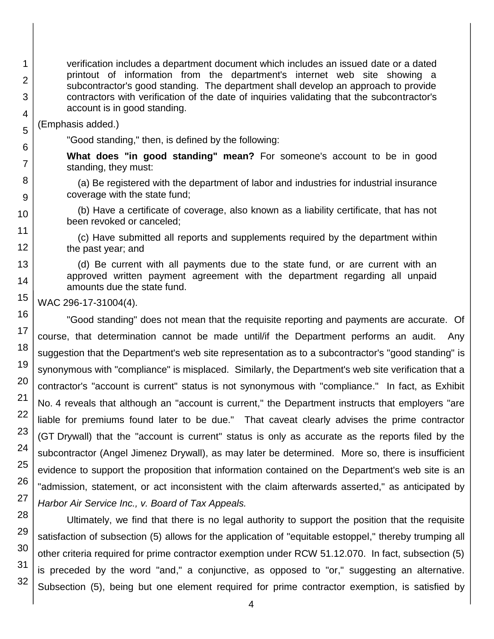verification includes a department document which includes an issued date or a dated printout of information from the department's internet web site showing a subcontractor's good standing. The department shall develop an approach to provide contractors with verification of the date of inquiries validating that the subcontractor's account is in good standing.

(Emphasis added.)

"Good standing," then, is defined by the following:

**What does "in good standing" mean?** For someone's account to be in good standing, they must:

(a) Be registered with the department of labor and industries for industrial insurance coverage with the state fund;

(b) Have a certificate of coverage, also known as a liability certificate, that has not been revoked or canceled;

(c) Have submitted all reports and supplements required by the department within the past year; and

(d) Be current with all payments due to the state fund, or are current with an approved written payment agreement with the department regarding all unpaid amounts due the state fund.

WAC 296-17-31004(4).

"Good standing" does not mean that the requisite reporting and payments are accurate. Of course, that determination cannot be made until/if the Department performs an audit. Any suggestion that the Department's web site representation as to a subcontractor's "good standing" is synonymous with "compliance" is misplaced. Similarly, the Department's web site verification that a contractor's "account is current" status is not synonymous with "compliance." In fact, as Exhibit No. 4 reveals that although an "account is current," the Department instructs that employers "are liable for premiums found later to be due." That caveat clearly advises the prime contractor (GT Drywall) that the "account is current" status is only as accurate as the reports filed by the subcontractor (Angel Jimenez Drywall), as may later be determined. More so, there is insufficient evidence to support the proposition that information contained on the Department's web site is an "admission, statement, or act inconsistent with the claim afterwards asserted," as anticipated by *Harbor Air Service Inc., v. Board of Tax Appeals.*

Ultimately, we find that there is no legal authority to support the position that the requisite satisfaction of subsection (5) allows for the application of "equitable estoppel," thereby trumping all other criteria required for prime contractor exemption under RCW 51.12.070. In fact, subsection (5) is preceded by the word "and," a conjunctive, as opposed to "or," suggesting an alternative. Subsection (5), being but one element required for prime contractor exemption, is satisfied by

32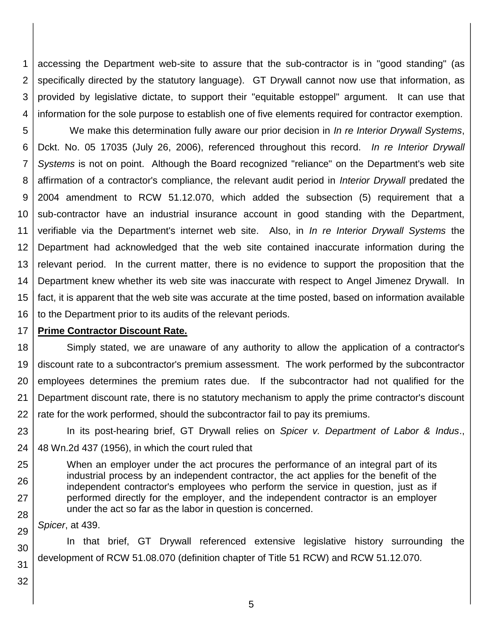1 2 3 4 accessing the Department web-site to assure that the sub-contractor is in "good standing" (as specifically directed by the statutory language). GT Drywall cannot now use that information, as provided by legislative dictate, to support their "equitable estoppel" argument. It can use that information for the sole purpose to establish one of five elements required for contractor exemption.

5 6 7 8 9 10 11 12 13 14 15 16 We make this determination fully aware our prior decision in *In re Interior Drywall Systems*, Dckt. No. 05 17035 (July 26, 2006), referenced throughout this record. *In re Interior Drywall Systems* is not on point. Although the Board recognized "reliance" on the Department's web site affirmation of a contractor's compliance, the relevant audit period in *Interior Drywall* predated the 2004 amendment to RCW 51.12.070, which added the subsection (5) requirement that a sub-contractor have an industrial insurance account in good standing with the Department, verifiable via the Department's internet web site. Also, in *In re Interior Drywall Systems* the Department had acknowledged that the web site contained inaccurate information during the relevant period. In the current matter, there is no evidence to support the proposition that the Department knew whether its web site was inaccurate with respect to Angel Jimenez Drywall. In fact, it is apparent that the web site was accurate at the time posted, based on information available to the Department prior to its audits of the relevant periods.

#### 17 **Prime Contractor Discount Rate.**

18 19 20 21 22 Simply stated, we are unaware of any authority to allow the application of a contractor's discount rate to a subcontractor's premium assessment. The work performed by the subcontractor employees determines the premium rates due. If the subcontractor had not qualified for the Department discount rate, there is no statutory mechanism to apply the prime contractor's discount rate for the work performed, should the subcontractor fail to pay its premiums.

23 24 In its post-hearing brief, GT Drywall relies on *Spicer v. Department of Labor & Indus*., 48 Wn.2d 437 (1956), in which the court ruled that

25 26 27 28 When an employer under the act procures the performance of an integral part of its industrial process by an independent contractor, the act applies for the benefit of the independent contractor's employees who perform the service in question, just as if performed directly for the employer, and the independent contractor is an employer under the act so far as the labor in question is concerned.

29 *Spicer*, at 439.

30 In that brief, GT Drywall referenced extensive legislative history surrounding the development of RCW 51.08.070 (definition chapter of Title 51 RCW) and RCW 51.12.070.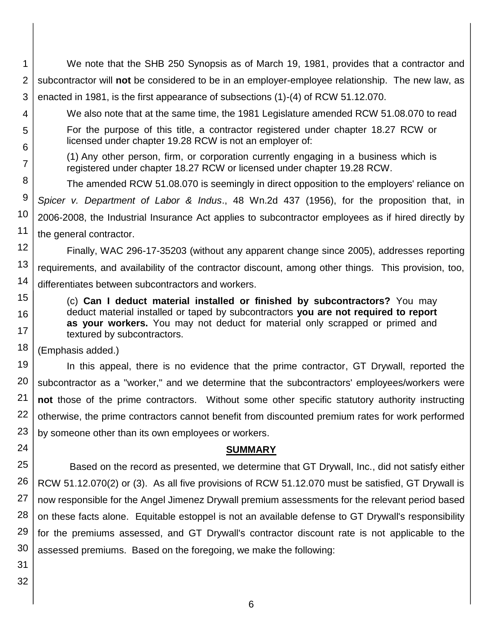- 1 2 3 4 5 6 7 8 9 We note that the SHB 250 Synopsis as of March 19, 1981, provides that a contractor and subcontractor will **not** be considered to be in an employer-employee relationship. The new law, as enacted in 1981, is the first appearance of subsections (1)-(4) of RCW 51.12.070. We also note that at the same time, the 1981 Legislature amended RCW 51.08.070 to read For the purpose of this title, a contractor registered under chapter 18.27 RCW or licensed under chapter 19.28 RCW is not an employer of: (1) Any other person, firm, or corporation currently engaging in a business which is registered under chapter 18.27 RCW or licensed under chapter 19.28 RCW. The amended RCW 51.08.070 is seemingly in direct opposition to the employers' reliance on *Spicer v. Department of Labor & Indus*., 48 Wn.2d 437 (1956), for the proposition that, in
- 10 11 2006-2008, the Industrial Insurance Act applies to subcontractor employees as if hired directly by the general contractor.
- 12 13 14 Finally, WAC 296-17-35203 (without any apparent change since 2005), addresses reporting requirements, and availability of the contractor discount, among other things. This provision, too, differentiates between subcontractors and workers.
	- (c) **Can I deduct material installed or finished by subcontractors?** You may deduct material installed or taped by subcontractors **you are not required to report as your workers.** You may not deduct for material only scrapped or primed and textured by subcontractors.
- 18 (Emphasis added.)

19 20 21 22 23 In this appeal, there is no evidence that the prime contractor, GT Drywall, reported the subcontractor as a "worker," and we determine that the subcontractors' employees/workers were **not** those of the prime contractors. Without some other specific statutory authority instructing otherwise, the prime contractors cannot benefit from discounted premium rates for work performed by someone other than its own employees or workers.

## **SUMMARY**

25 26 27 28 29 30 Based on the record as presented, we determine that GT Drywall, Inc., did not satisfy either RCW 51.12.070(2) or (3). As all five provisions of RCW 51.12.070 must be satisfied, GT Drywall is now responsible for the Angel Jimenez Drywall premium assessments for the relevant period based on these facts alone. Equitable estoppel is not an available defense to GT Drywall's responsibility for the premiums assessed, and GT Drywall's contractor discount rate is not applicable to the assessed premiums. Based on the foregoing, we make the following:

31 32

15

16

17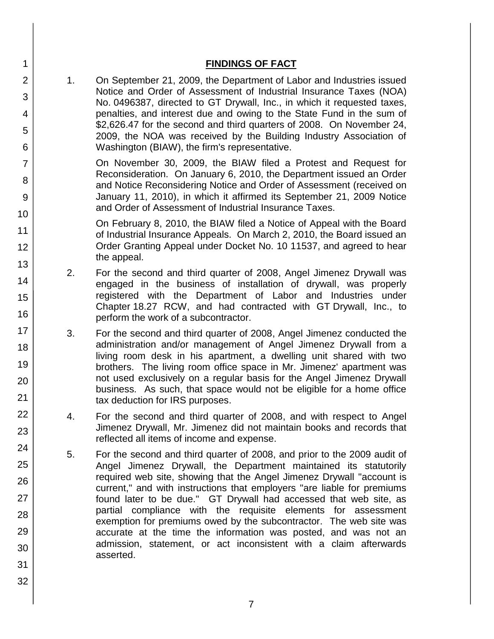| <b>FINDINGS OF FACT</b> |  |
|-------------------------|--|
|                         |  |

1. On September 21, 2009, the Department of Labor and Industries issued Notice and Order of Assessment of Industrial Insurance Taxes (NOA) No. 0496387, directed to GT Drywall, Inc., in which it requested taxes, penalties, and interest due and owing to the State Fund in the sum of \$2,626.47 for the second and third quarters of 2008. On November 24, 2009, the NOA was received by the Building Industry Association of Washington (BIAW), the firm's representative.

On November 30, 2009, the BIAW filed a Protest and Request for Reconsideration. On January 6, 2010, the Department issued an Order and Notice Reconsidering Notice and Order of Assessment (received on January 11, 2010), in which it affirmed its September 21, 2009 Notice and Order of Assessment of Industrial Insurance Taxes.

On February 8, 2010, the BIAW filed a Notice of Appeal with the Board of Industrial Insurance Appeals. On March 2, 2010, the Board issued an Order Granting Appeal under Docket No. 10 11537, and agreed to hear the appeal.

- 2. For the second and third quarter of 2008, Angel Jimenez Drywall was engaged in the business of installation of drywall, was properly registered with the Department of Labor and Industries under Chapter 18.27 RCW, and had contracted with GT Drywall, Inc., to perform the work of a subcontractor.
- 3. For the second and third quarter of 2008, Angel Jimenez conducted the administration and/or management of Angel Jimenez Drywall from a living room desk in his apartment, a dwelling unit shared with two brothers. The living room office space in Mr. Jimenez' apartment was not used exclusively on a regular basis for the Angel Jimenez Drywall business. As such, that space would not be eligible for a home office tax deduction for IRS purposes.
- 4. For the second and third quarter of 2008, and with respect to Angel Jimenez Drywall, Mr. Jimenez did not maintain books and records that reflected all items of income and expense.
- 5. For the second and third quarter of 2008, and prior to the 2009 audit of Angel Jimenez Drywall, the Department maintained its statutorily required web site, showing that the Angel Jimenez Drywall "account is current," and with instructions that employers "are liable for premiums found later to be due." GT Drywall had accessed that web site, as partial compliance with the requisite elements for assessment exemption for premiums owed by the subcontractor. The web site was accurate at the time the information was posted, and was not an admission, statement, or act inconsistent with a claim afterwards asserted.
- 31 32

1

2

3

4

5

6

7

8

9

10

11

12

13

14

15

16

17 18

19

20

21

22

23

24

25

26

27

28

29